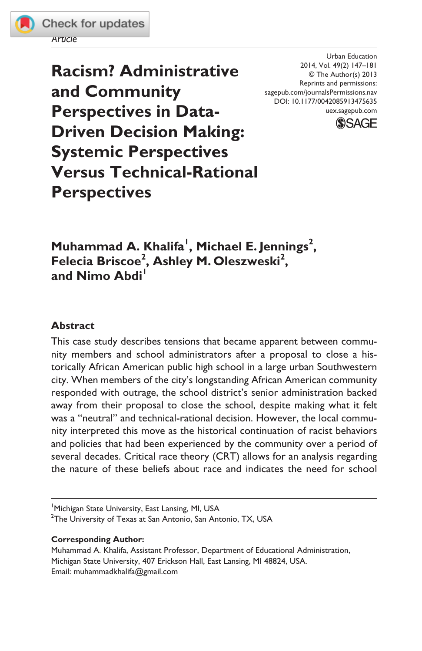

*[Article](http://crossmark.crossref.org/dialog/?doi=10.1177%2F0042085913475635&domain=pdf&date_stamp=2013-03-15)*

**Racism? Administrative and Community Perspectives in Data-Driven Decision Making: Systemic Perspectives Versus Technical-Rational Perspectives**

Urban Education 2014, Vol. 49(2) 147–181 © The Author(s) 2013 Reprints and permissions: sagepub.com/journalsPermissions.nav DOI: 10.1177/0042085913475635 uex.sagepub.com



**Muhammad A. Khalifa<sup>1</sup>, Michael E. Jennings<sup>2</sup>,** Felecia Briscoe<sup>2</sup>, Ashley M. Oleszweski<sup>2</sup>, and Nimo Abdi<sup>1</sup>

#### **Abstract**

This case study describes tensions that became apparent between community members and school administrators after a proposal to close a historically African American public high school in a large urban Southwestern city. When members of the city's longstanding African American community responded with outrage, the school district's senior administration backed away from their proposal to close the school, despite making what it felt was a "neutral" and technical-rational decision. However, the local community interpreted this move as the historical continuation of racist behaviors and policies that had been experienced by the community over a period of several decades. Critical race theory (CRT) allows for an analysis regarding the nature of these beliefs about race and indicates the need for school

<sup>1</sup>Michigan State University, East Lansing, MI, USA

 $^{2}$ The University of Texas at San Antonio, San Antonio, TX, USA

**Corresponding Author:**

Muhammad A. Khalifa, Assistant Professor, Department of Educational Administration, Michigan State University, 407 Erickson Hall, East Lansing, MI 48824, USA. Email: muhammadkhalifa@gmail.com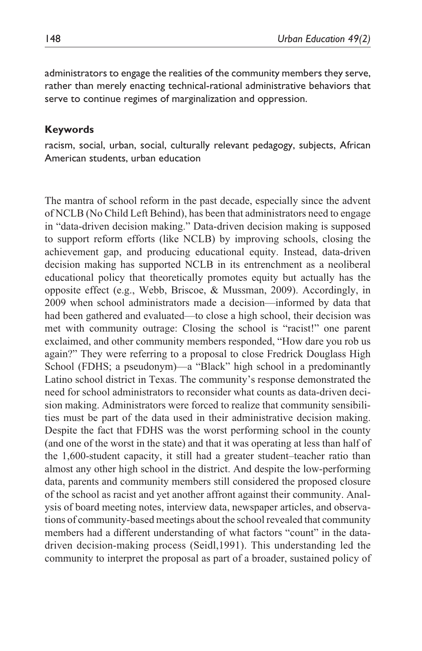administrators to engage the realities of the community members they serve, rather than merely enacting technical-rational administrative behaviors that serve to continue regimes of marginalization and oppression.

#### **Keywords**

racism, social, urban, social, culturally relevant pedagogy, subjects, African American students, urban education

The mantra of school reform in the past decade, especially since the advent of NCLB (No Child Left Behind), has been that administrators need to engage in "data-driven decision making." Data-driven decision making is supposed to support reform efforts (like NCLB) by improving schools, closing the achievement gap, and producing educational equity. Instead, data-driven decision making has supported NCLB in its entrenchment as a neoliberal educational policy that theoretically promotes equity but actually has the opposite effect (e.g., Webb, Briscoe, & Mussman, 2009). Accordingly, in 2009 when school administrators made a decision—informed by data that had been gathered and evaluated—to close a high school, their decision was met with community outrage: Closing the school is "racist!" one parent exclaimed, and other community members responded, "How dare you rob us again?" They were referring to a proposal to close Fredrick Douglass High School (FDHS; a pseudonym)—a "Black" high school in a predominantly Latino school district in Texas. The community's response demonstrated the need for school administrators to reconsider what counts as data-driven decision making. Administrators were forced to realize that community sensibilities must be part of the data used in their administrative decision making. Despite the fact that FDHS was the worst performing school in the county (and one of the worst in the state) and that it was operating at less than half of the 1,600-student capacity, it still had a greater student–teacher ratio than almost any other high school in the district. And despite the low-performing data, parents and community members still considered the proposed closure of the school as racist and yet another affront against their community. Analysis of board meeting notes, interview data, newspaper articles, and observations of community-based meetings about the school revealed that community members had a different understanding of what factors "count" in the datadriven decision-making process (Seidl,1991). This understanding led the community to interpret the proposal as part of a broader, sustained policy of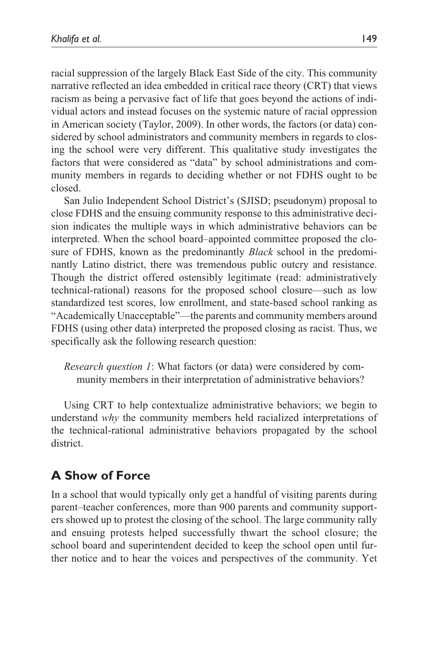racial suppression of the largely Black East Side of the city. This community narrative reflected an idea embedded in critical race theory (CRT) that views racism as being a pervasive fact of life that goes beyond the actions of individual actors and instead focuses on the systemic nature of racial oppression in American society (Taylor, 2009). In other words, the factors (or data) considered by school administrators and community members in regards to closing the school were very different. This qualitative study investigates the factors that were considered as "data" by school administrations and community members in regards to deciding whether or not FDHS ought to be closed.

San Julio Independent School District's (SJISD; pseudonym) proposal to close FDHS and the ensuing community response to this administrative decision indicates the multiple ways in which administrative behaviors can be interpreted. When the school board–appointed committee proposed the closure of FDHS, known as the predominantly *Black* school in the predominantly Latino district, there was tremendous public outcry and resistance. Though the district offered ostensibly legitimate (read: administratively technical-rational) reasons for the proposed school closure—such as low standardized test scores, low enrollment, and state-based school ranking as "Academically Unacceptable"—the parents and community members around FDHS (using other data) interpreted the proposed closing as racist. Thus, we specifically ask the following research question:

*Research question 1*: What factors (or data) were considered by community members in their interpretation of administrative behaviors?

Using CRT to help contextualize administrative behaviors; we begin to understand *why* the community members held racialized interpretations of the technical-rational administrative behaviors propagated by the school district.

# **A Show of Force**

In a school that would typically only get a handful of visiting parents during parent–teacher conferences, more than 900 parents and community supporters showed up to protest the closing of the school. The large community rally and ensuing protests helped successfully thwart the school closure; the school board and superintendent decided to keep the school open until further notice and to hear the voices and perspectives of the community. Yet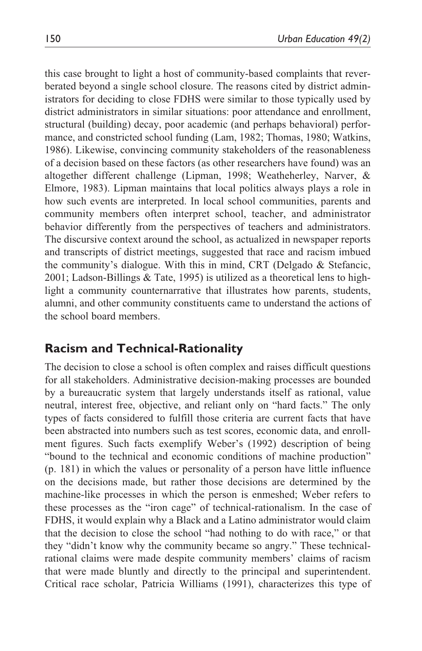this case brought to light a host of community-based complaints that reverberated beyond a single school closure. The reasons cited by district administrators for deciding to close FDHS were similar to those typically used by district administrators in similar situations: poor attendance and enrollment, structural (building) decay, poor academic (and perhaps behavioral) performance, and constricted school funding (Lam, 1982; Thomas, 1980; Watkins, 1986). Likewise, convincing community stakeholders of the reasonableness of a decision based on these factors (as other researchers have found) was an altogether different challenge (Lipman, 1998; Weatheherley, Narver, & Elmore, 1983). Lipman maintains that local politics always plays a role in how such events are interpreted. In local school communities, parents and community members often interpret school, teacher, and administrator behavior differently from the perspectives of teachers and administrators. The discursive context around the school, as actualized in newspaper reports and transcripts of district meetings, suggested that race and racism imbued the community's dialogue. With this in mind, CRT (Delgado & Stefancic, 2001; Ladson-Billings & Tate, 1995) is utilized as a theoretical lens to highlight a community counternarrative that illustrates how parents, students, alumni, and other community constituents came to understand the actions of the school board members.

### **Racism and Technical-Rationality**

The decision to close a school is often complex and raises difficult questions for all stakeholders. Administrative decision-making processes are bounded by a bureaucratic system that largely understands itself as rational, value neutral, interest free, objective, and reliant only on "hard facts." The only types of facts considered to fulfill those criteria are current facts that have been abstracted into numbers such as test scores, economic data, and enrollment figures. Such facts exemplify Weber's (1992) description of being "bound to the technical and economic conditions of machine production" (p. 181) in which the values or personality of a person have little influence on the decisions made, but rather those decisions are determined by the machine-like processes in which the person is enmeshed; Weber refers to these processes as the "iron cage" of technical-rationalism. In the case of FDHS, it would explain why a Black and a Latino administrator would claim that the decision to close the school "had nothing to do with race," or that they "didn't know why the community became so angry." These technicalrational claims were made despite community members' claims of racism that were made bluntly and directly to the principal and superintendent. Critical race scholar, Patricia Williams (1991), characterizes this type of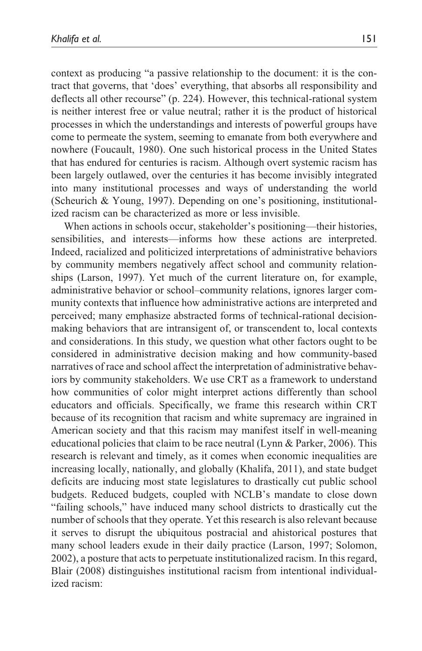context as producing "a passive relationship to the document: it is the contract that governs, that 'does' everything, that absorbs all responsibility and deflects all other recourse" (p. 224). However, this technical-rational system is neither interest free or value neutral; rather it is the product of historical processes in which the understandings and interests of powerful groups have come to permeate the system, seeming to emanate from both everywhere and nowhere (Foucault, 1980). One such historical process in the United States that has endured for centuries is racism. Although overt systemic racism has been largely outlawed, over the centuries it has become invisibly integrated into many institutional processes and ways of understanding the world (Scheurich & Young, 1997). Depending on one's positioning, institutionalized racism can be characterized as more or less invisible.

When actions in schools occur, stakeholder's positioning—their histories, sensibilities, and interests—informs how these actions are interpreted. Indeed, racialized and politicized interpretations of administrative behaviors by community members negatively affect school and community relationships (Larson, 1997). Yet much of the current literature on, for example, administrative behavior or school–community relations, ignores larger community contexts that influence how administrative actions are interpreted and perceived; many emphasize abstracted forms of technical-rational decisionmaking behaviors that are intransigent of, or transcendent to, local contexts and considerations. In this study, we question what other factors ought to be considered in administrative decision making and how community-based narratives of race and school affect the interpretation of administrative behaviors by community stakeholders. We use CRT as a framework to understand how communities of color might interpret actions differently than school educators and officials. Specifically, we frame this research within CRT because of its recognition that racism and white supremacy are ingrained in American society and that this racism may manifest itself in well-meaning educational policies that claim to be race neutral (Lynn & Parker, 2006). This research is relevant and timely, as it comes when economic inequalities are increasing locally, nationally, and globally (Khalifa, 2011), and state budget deficits are inducing most state legislatures to drastically cut public school budgets. Reduced budgets, coupled with NCLB's mandate to close down "failing schools," have induced many school districts to drastically cut the number of schools that they operate. Yet this research is also relevant because it serves to disrupt the ubiquitous postracial and ahistorical postures that many school leaders exude in their daily practice (Larson, 1997; Solomon, 2002), a posture that acts to perpetuate institutionalized racism. In this regard, Blair (2008) distinguishes institutional racism from intentional individualized racism: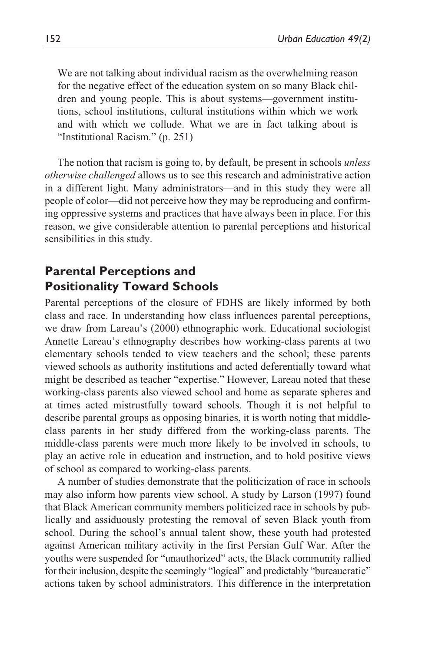We are not talking about individual racism as the overwhelming reason for the negative effect of the education system on so many Black children and young people. This is about systems—government institutions, school institutions, cultural institutions within which we work and with which we collude. What we are in fact talking about is "Institutional Racism." (p. 251)

The notion that racism is going to, by default, be present in schools *unless otherwise challenged* allows us to see this research and administrative action in a different light. Many administrators—and in this study they were all people of color—did not perceive how they may be reproducing and confirming oppressive systems and practices that have always been in place. For this reason, we give considerable attention to parental perceptions and historical sensibilities in this study.

## **Parental Perceptions and Positionality Toward Schools**

Parental perceptions of the closure of FDHS are likely informed by both class and race. In understanding how class influences parental perceptions, we draw from Lareau's (2000) ethnographic work. Educational sociologist Annette Lareau's ethnography describes how working-class parents at two elementary schools tended to view teachers and the school; these parents viewed schools as authority institutions and acted deferentially toward what might be described as teacher "expertise." However, Lareau noted that these working-class parents also viewed school and home as separate spheres and at times acted mistrustfully toward schools. Though it is not helpful to describe parental groups as opposing binaries, it is worth noting that middleclass parents in her study differed from the working-class parents. The middle-class parents were much more likely to be involved in schools, to play an active role in education and instruction, and to hold positive views of school as compared to working-class parents.

A number of studies demonstrate that the politicization of race in schools may also inform how parents view school. A study by Larson (1997) found that Black American community members politicized race in schools by publically and assiduously protesting the removal of seven Black youth from school. During the school's annual talent show, these youth had protested against American military activity in the first Persian Gulf War. After the youths were suspended for "unauthorized" acts, the Black community rallied for their inclusion, despite the seemingly "logical" and predictably "bureaucratic" actions taken by school administrators. This difference in the interpretation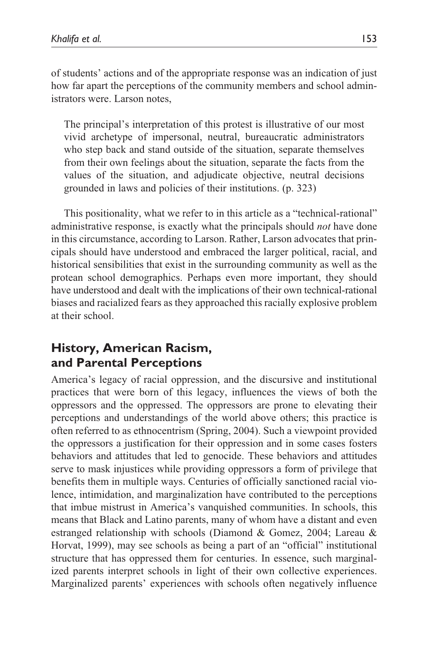of students' actions and of the appropriate response was an indication of just how far apart the perceptions of the community members and school administrators were. Larson notes,

The principal's interpretation of this protest is illustrative of our most vivid archetype of impersonal, neutral, bureaucratic administrators who step back and stand outside of the situation, separate themselves from their own feelings about the situation, separate the facts from the values of the situation, and adjudicate objective, neutral decisions grounded in laws and policies of their institutions. (p. 323)

This positionality, what we refer to in this article as a "technical-rational" administrative response, is exactly what the principals should *not* have done in this circumstance, according to Larson. Rather, Larson advocates that principals should have understood and embraced the larger political, racial, and historical sensibilities that exist in the surrounding community as well as the protean school demographics. Perhaps even more important, they should have understood and dealt with the implications of their own technical-rational biases and racialized fears as they approached this racially explosive problem at their school.

## **History, American Racism, and Parental Perceptions**

America's legacy of racial oppression, and the discursive and institutional practices that were born of this legacy, influences the views of both the oppressors and the oppressed. The oppressors are prone to elevating their perceptions and understandings of the world above others; this practice is often referred to as ethnocentrism (Spring, 2004). Such a viewpoint provided the oppressors a justification for their oppression and in some cases fosters behaviors and attitudes that led to genocide. These behaviors and attitudes serve to mask injustices while providing oppressors a form of privilege that benefits them in multiple ways. Centuries of officially sanctioned racial violence, intimidation, and marginalization have contributed to the perceptions that imbue mistrust in America's vanquished communities. In schools, this means that Black and Latino parents, many of whom have a distant and even estranged relationship with schools (Diamond & Gomez, 2004; Lareau & Horvat, 1999), may see schools as being a part of an "official" institutional structure that has oppressed them for centuries. In essence, such marginalized parents interpret schools in light of their own collective experiences. Marginalized parents' experiences with schools often negatively influence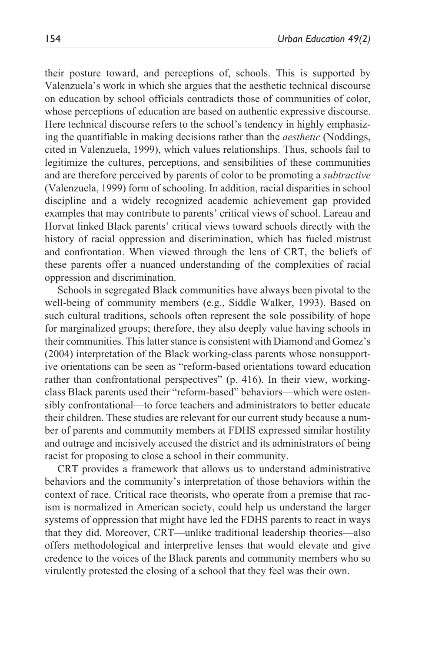their posture toward, and perceptions of, schools. This is supported by Valenzuela's work in which she argues that the aesthetic technical discourse on education by school officials contradicts those of communities of color, whose perceptions of education are based on authentic expressive discourse. Here technical discourse refers to the school's tendency in highly emphasizing the quantifiable in making decisions rather than the *aesthetic* (Noddings, cited in Valenzuela, 1999), which values relationships. Thus, schools fail to legitimize the cultures, perceptions, and sensibilities of these communities and are therefore perceived by parents of color to be promoting a *subtractive* (Valenzuela, 1999) form of schooling. In addition, racial disparities in school discipline and a widely recognized academic achievement gap provided examples that may contribute to parents' critical views of school. Lareau and Horvat linked Black parents' critical views toward schools directly with the history of racial oppression and discrimination, which has fueled mistrust and confrontation. When viewed through the lens of CRT, the beliefs of these parents offer a nuanced understanding of the complexities of racial oppression and discrimination.

Schools in segregated Black communities have always been pivotal to the well-being of community members (e.g., Siddle Walker, 1993). Based on such cultural traditions, schools often represent the sole possibility of hope for marginalized groups; therefore, they also deeply value having schools in their communities. This latter stance is consistent with Diamond and Gomez's (2004) interpretation of the Black working-class parents whose nonsupportive orientations can be seen as "reform-based orientations toward education rather than confrontational perspectives" (p. 416). In their view, workingclass Black parents used their "reform-based" behaviors—which were ostensibly confrontational—to force teachers and administrators to better educate their children. These studies are relevant for our current study because a number of parents and community members at FDHS expressed similar hostility and outrage and incisively accused the district and its administrators of being racist for proposing to close a school in their community.

CRT provides a framework that allows us to understand administrative behaviors and the community's interpretation of those behaviors within the context of race. Critical race theorists, who operate from a premise that racism is normalized in American society, could help us understand the larger systems of oppression that might have led the FDHS parents to react in ways that they did. Moreover, CRT—unlike traditional leadership theories—also offers methodological and interpretive lenses that would elevate and give credence to the voices of the Black parents and community members who so virulently protested the closing of a school that they feel was their own.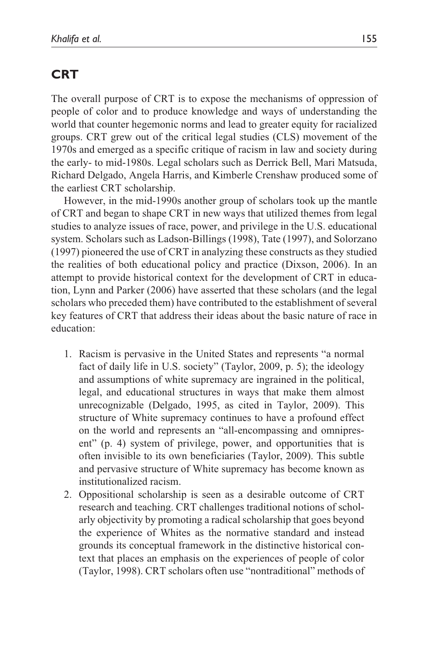### **CRT**

The overall purpose of CRT is to expose the mechanisms of oppression of people of color and to produce knowledge and ways of understanding the world that counter hegemonic norms and lead to greater equity for racialized groups. CRT grew out of the critical legal studies (CLS) movement of the 1970s and emerged as a specific critique of racism in law and society during the early- to mid-1980s. Legal scholars such as Derrick Bell, Mari Matsuda, Richard Delgado, Angela Harris, and Kimberle Crenshaw produced some of the earliest CRT scholarship.

However, in the mid-1990s another group of scholars took up the mantle of CRT and began to shape CRT in new ways that utilized themes from legal studies to analyze issues of race, power, and privilege in the U.S. educational system. Scholars such as Ladson-Billings (1998), Tate (1997), and Solorzano (1997) pioneered the use of CRT in analyzing these constructs as they studied the realities of both educational policy and practice (Dixson, 2006). In an attempt to provide historical context for the development of CRT in education, Lynn and Parker (2006) have asserted that these scholars (and the legal scholars who preceded them) have contributed to the establishment of several key features of CRT that address their ideas about the basic nature of race in education:

- 1. Racism is pervasive in the United States and represents "a normal fact of daily life in U.S. society" (Taylor, 2009, p. 5); the ideology and assumptions of white supremacy are ingrained in the political, legal, and educational structures in ways that make them almost unrecognizable (Delgado, 1995, as cited in Taylor, 2009). This structure of White supremacy continues to have a profound effect on the world and represents an "all-encompassing and omnipresent" (p. 4) system of privilege, power, and opportunities that is often invisible to its own beneficiaries (Taylor, 2009). This subtle and pervasive structure of White supremacy has become known as institutionalized racism.
- 2. Oppositional scholarship is seen as a desirable outcome of CRT research and teaching. CRT challenges traditional notions of scholarly objectivity by promoting a radical scholarship that goes beyond the experience of Whites as the normative standard and instead grounds its conceptual framework in the distinctive historical context that places an emphasis on the experiences of people of color (Taylor, 1998). CRT scholars often use "nontraditional" methods of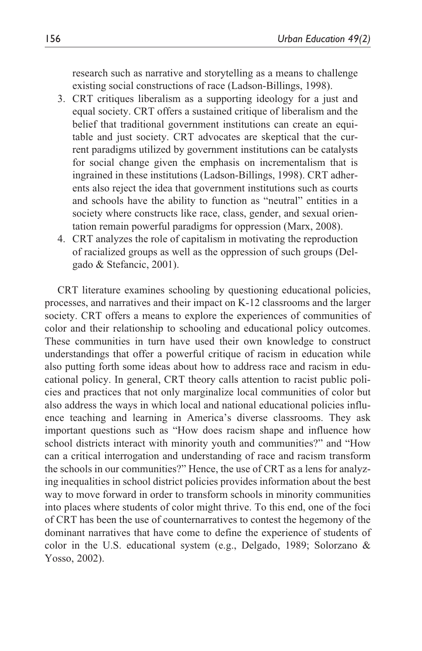research such as narrative and storytelling as a means to challenge existing social constructions of race (Ladson-Billings, 1998).

- 3. CRT critiques liberalism as a supporting ideology for a just and equal society. CRT offers a sustained critique of liberalism and the belief that traditional government institutions can create an equitable and just society. CRT advocates are skeptical that the current paradigms utilized by government institutions can be catalysts for social change given the emphasis on incrementalism that is ingrained in these institutions (Ladson-Billings, 1998). CRT adherents also reject the idea that government institutions such as courts and schools have the ability to function as "neutral" entities in a society where constructs like race, class, gender, and sexual orientation remain powerful paradigms for oppression (Marx, 2008).
- 4. CRT analyzes the role of capitalism in motivating the reproduction of racialized groups as well as the oppression of such groups (Delgado & Stefancic, 2001).

CRT literature examines schooling by questioning educational policies, processes, and narratives and their impact on K-12 classrooms and the larger society. CRT offers a means to explore the experiences of communities of color and their relationship to schooling and educational policy outcomes. These communities in turn have used their own knowledge to construct understandings that offer a powerful critique of racism in education while also putting forth some ideas about how to address race and racism in educational policy. In general, CRT theory calls attention to racist public policies and practices that not only marginalize local communities of color but also address the ways in which local and national educational policies influence teaching and learning in America's diverse classrooms. They ask important questions such as "How does racism shape and influence how school districts interact with minority youth and communities?" and "How can a critical interrogation and understanding of race and racism transform the schools in our communities?" Hence, the use of CRT as a lens for analyzing inequalities in school district policies provides information about the best way to move forward in order to transform schools in minority communities into places where students of color might thrive. To this end, one of the foci of CRT has been the use of counternarratives to contest the hegemony of the dominant narratives that have come to define the experience of students of color in the U.S. educational system (e.g., Delgado, 1989; Solorzano & Yosso, 2002).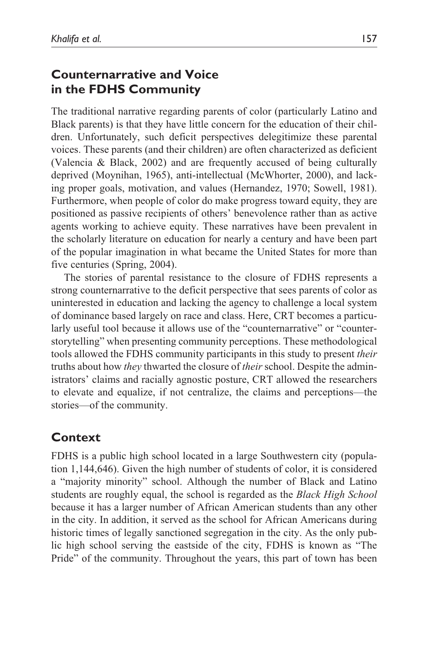## **Counternarrative and Voice in the FDHS Community**

The traditional narrative regarding parents of color (particularly Latino and Black parents) is that they have little concern for the education of their children. Unfortunately, such deficit perspectives delegitimize these parental voices. These parents (and their children) are often characterized as deficient (Valencia & Black, 2002) and are frequently accused of being culturally deprived (Moynihan, 1965), anti-intellectual (McWhorter, 2000), and lacking proper goals, motivation, and values (Hernandez, 1970; Sowell, 1981). Furthermore, when people of color do make progress toward equity, they are positioned as passive recipients of others' benevolence rather than as active agents working to achieve equity. These narratives have been prevalent in the scholarly literature on education for nearly a century and have been part of the popular imagination in what became the United States for more than five centuries (Spring, 2004).

The stories of parental resistance to the closure of FDHS represents a strong counternarrative to the deficit perspective that sees parents of color as uninterested in education and lacking the agency to challenge a local system of dominance based largely on race and class. Here, CRT becomes a particularly useful tool because it allows use of the "counternarrative" or "counterstorytelling" when presenting community perceptions. These methodological tools allowed the FDHS community participants in this study to present *their* truths about how *they* thwarted the closure of *their* school. Despite the administrators' claims and racially agnostic posture, CRT allowed the researchers to elevate and equalize, if not centralize, the claims and perceptions—the stories—of the community.

# **Context**

FDHS is a public high school located in a large Southwestern city (population 1,144,646). Given the high number of students of color, it is considered a "majority minority" school. Although the number of Black and Latino students are roughly equal, the school is regarded as the *Black High School* because it has a larger number of African American students than any other in the city. In addition, it served as the school for African Americans during historic times of legally sanctioned segregation in the city. As the only public high school serving the eastside of the city, FDHS is known as "The Pride" of the community. Throughout the years, this part of town has been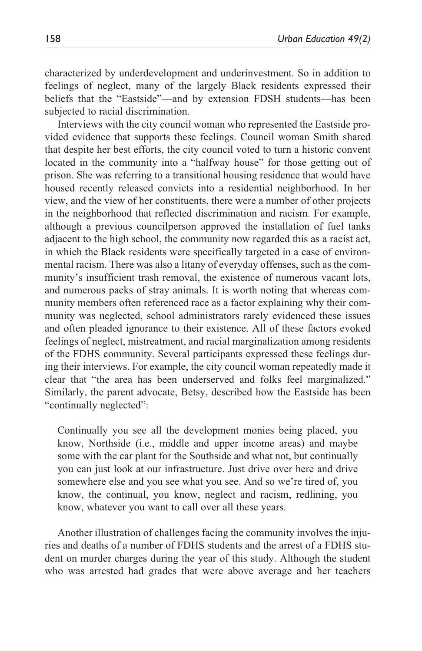characterized by underdevelopment and underinvestment. So in addition to feelings of neglect, many of the largely Black residents expressed their beliefs that the "Eastside"—and by extension FDSH students—has been subjected to racial discrimination.

Interviews with the city council woman who represented the Eastside provided evidence that supports these feelings. Council woman Smith shared that despite her best efforts, the city council voted to turn a historic convent located in the community into a "halfway house" for those getting out of prison. She was referring to a transitional housing residence that would have housed recently released convicts into a residential neighborhood. In her view, and the view of her constituents, there were a number of other projects in the neighborhood that reflected discrimination and racism. For example, although a previous councilperson approved the installation of fuel tanks adjacent to the high school, the community now regarded this as a racist act, in which the Black residents were specifically targeted in a case of environmental racism. There was also a litany of everyday offenses, such as the community's insufficient trash removal, the existence of numerous vacant lots, and numerous packs of stray animals. It is worth noting that whereas community members often referenced race as a factor explaining why their community was neglected, school administrators rarely evidenced these issues and often pleaded ignorance to their existence. All of these factors evoked feelings of neglect, mistreatment, and racial marginalization among residents of the FDHS community. Several participants expressed these feelings during their interviews. For example, the city council woman repeatedly made it clear that "the area has been underserved and folks feel marginalized." Similarly, the parent advocate, Betsy, described how the Eastside has been "continually neglected":

Continually you see all the development monies being placed, you know, Northside (i.e., middle and upper income areas) and maybe some with the car plant for the Southside and what not, but continually you can just look at our infrastructure. Just drive over here and drive somewhere else and you see what you see. And so we're tired of, you know, the continual, you know, neglect and racism, redlining, you know, whatever you want to call over all these years.

Another illustration of challenges facing the community involves the injuries and deaths of a number of FDHS students and the arrest of a FDHS student on murder charges during the year of this study. Although the student who was arrested had grades that were above average and her teachers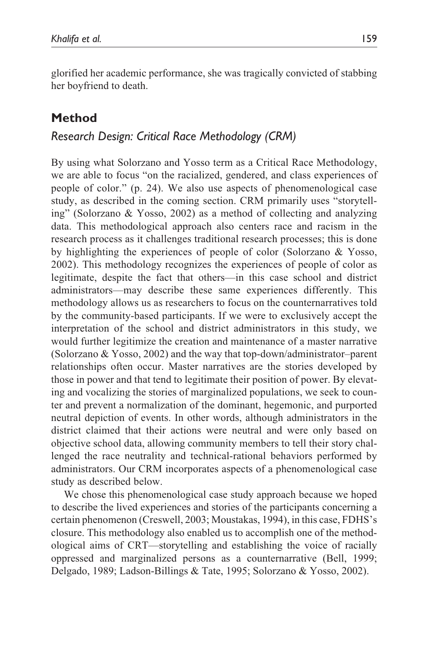glorified her academic performance, she was tragically convicted of stabbing her boyfriend to death.

# **Method**

## *Research Design: Critical Race Methodology (CRM)*

By using what Solorzano and Yosso term as a Critical Race Methodology, we are able to focus "on the racialized, gendered, and class experiences of people of color." (p. 24). We also use aspects of phenomenological case study, as described in the coming section. CRM primarily uses "storytelling" (Solorzano & Yosso, 2002) as a method of collecting and analyzing data. This methodological approach also centers race and racism in the research process as it challenges traditional research processes; this is done by highlighting the experiences of people of color (Solorzano & Yosso, 2002). This methodology recognizes the experiences of people of color as legitimate, despite the fact that others—in this case school and district administrators—may describe these same experiences differently. This methodology allows us as researchers to focus on the counternarratives told by the community-based participants. If we were to exclusively accept the interpretation of the school and district administrators in this study, we would further legitimize the creation and maintenance of a master narrative (Solorzano & Yosso, 2002) and the way that top-down/administrator–parent relationships often occur. Master narratives are the stories developed by those in power and that tend to legitimate their position of power. By elevating and vocalizing the stories of marginalized populations, we seek to counter and prevent a normalization of the dominant, hegemonic, and purported neutral depiction of events. In other words, although administrators in the district claimed that their actions were neutral and were only based on objective school data, allowing community members to tell their story challenged the race neutrality and technical-rational behaviors performed by administrators. Our CRM incorporates aspects of a phenomenological case study as described below.

We chose this phenomenological case study approach because we hoped to describe the lived experiences and stories of the participants concerning a certain phenomenon (Creswell, 2003; Moustakas, 1994), in this case, FDHS's closure. This methodology also enabled us to accomplish one of the methodological aims of CRT—storytelling and establishing the voice of racially oppressed and marginalized persons as a counternarrative (Bell, 1999; Delgado, 1989; Ladson-Billings & Tate, 1995; Solorzano & Yosso, 2002).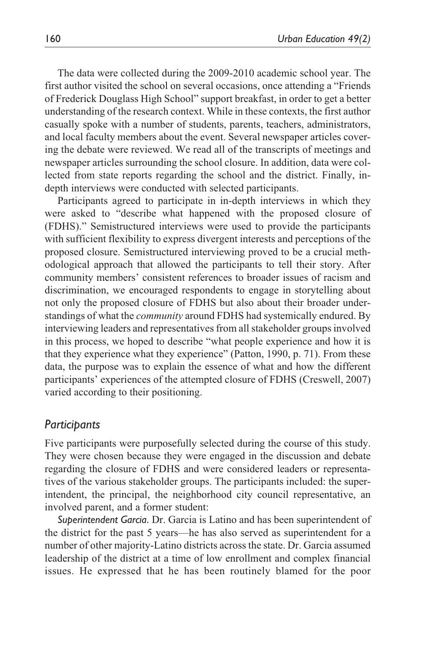The data were collected during the 2009-2010 academic school year. The first author visited the school on several occasions, once attending a "Friends of Frederick Douglass High School" support breakfast, in order to get a better understanding of the research context. While in these contexts, the first author casually spoke with a number of students, parents, teachers, administrators, and local faculty members about the event. Several newspaper articles covering the debate were reviewed. We read all of the transcripts of meetings and newspaper articles surrounding the school closure. In addition, data were collected from state reports regarding the school and the district. Finally, indepth interviews were conducted with selected participants.

Participants agreed to participate in in-depth interviews in which they were asked to "describe what happened with the proposed closure of (FDHS)." Semistructured interviews were used to provide the participants with sufficient flexibility to express divergent interests and perceptions of the proposed closure. Semistructured interviewing proved to be a crucial methodological approach that allowed the participants to tell their story. After community members' consistent references to broader issues of racism and discrimination, we encouraged respondents to engage in storytelling about not only the proposed closure of FDHS but also about their broader understandings of what the *community* around FDHS had systemically endured. By interviewing leaders and representatives from all stakeholder groups involved in this process, we hoped to describe "what people experience and how it is that they experience what they experience" (Patton, 1990, p. 71). From these data, the purpose was to explain the essence of what and how the different participants' experiences of the attempted closure of FDHS (Creswell, 2007) varied according to their positioning.

#### *Participants*

Five participants were purposefully selected during the course of this study. They were chosen because they were engaged in the discussion and debate regarding the closure of FDHS and were considered leaders or representatives of the various stakeholder groups. The participants included: the superintendent, the principal, the neighborhood city council representative, an involved parent, and a former student:

*Superintendent Garcia*. Dr. Garcia is Latino and has been superintendent of the district for the past 5 years—he has also served as superintendent for a number of other majority-Latino districts across the state. Dr. Garcia assumed leadership of the district at a time of low enrollment and complex financial issues. He expressed that he has been routinely blamed for the poor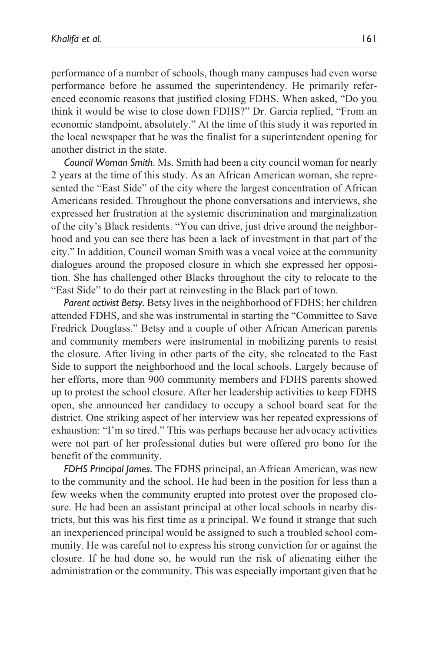performance of a number of schools, though many campuses had even worse performance before he assumed the superintendency. He primarily referenced economic reasons that justified closing FDHS. When asked, "Do you think it would be wise to close down FDHS?" Dr. Garcia replied, "From an economic standpoint, absolutely." At the time of this study it was reported in the local newspaper that he was the finalist for a superintendent opening for another district in the state.

*Council Woman Smith*. Ms. Smith had been a city council woman for nearly 2 years at the time of this study. As an African American woman, she represented the "East Side" of the city where the largest concentration of African Americans resided. Throughout the phone conversations and interviews, she expressed her frustration at the systemic discrimination and marginalization of the city's Black residents. "You can drive, just drive around the neighborhood and you can see there has been a lack of investment in that part of the city." In addition, Council woman Smith was a vocal voice at the community dialogues around the proposed closure in which she expressed her opposition. She has challenged other Blacks throughout the city to relocate to the "East Side" to do their part at reinvesting in the Black part of town.

*Parent activist Betsy*. Betsy lives in the neighborhood of FDHS; her children attended FDHS, and she was instrumental in starting the "Committee to Save Fredrick Douglass." Betsy and a couple of other African American parents and community members were instrumental in mobilizing parents to resist the closure. After living in other parts of the city, she relocated to the East Side to support the neighborhood and the local schools. Largely because of her efforts, more than 900 community members and FDHS parents showed up to protest the school closure. After her leadership activities to keep FDHS open, she announced her candidacy to occupy a school board seat for the district. One striking aspect of her interview was her repeated expressions of exhaustion: "I'm so tired." This was perhaps because her advocacy activities were not part of her professional duties but were offered pro bono for the benefit of the community.

*FDHS Principal James*. The FDHS principal, an African American, was new to the community and the school. He had been in the position for less than a few weeks when the community erupted into protest over the proposed closure. He had been an assistant principal at other local schools in nearby districts, but this was his first time as a principal. We found it strange that such an inexperienced principal would be assigned to such a troubled school community. He was careful not to express his strong conviction for or against the closure. If he had done so, he would run the risk of alienating either the administration or the community. This was especially important given that he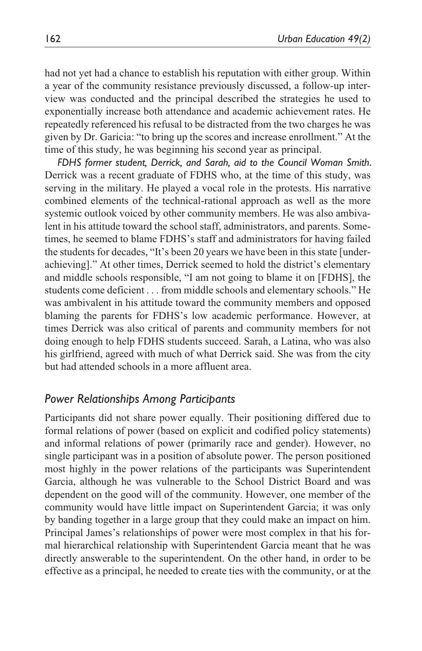had not yet had a chance to establish his reputation with either group. Within a year of the community resistance previously discussed, a follow-up interview was conducted and the principal described the strategies he used to exponentially increase both attendance and academic achievement rates. He repeatedly referenced his refusal to be distracted from the two charges he was given by Dr. Garicia: "to bring up the scores and increase enrollment." At the time of this study, he was beginning his second year as principal.

*FDHS former student, Derrick, and Sarah, aid to the Council Woman Smith*. Derrick was a recent graduate of FDHS who, at the time of this study, was serving in the military. He played a vocal role in the protests. His narrative combined elements of the technical-rational approach as well as the more systemic outlook voiced by other community members. He was also ambivalent in his attitude toward the school staff, administrators, and parents. Sometimes, he seemed to blame FDHS's staff and administrators for having failed the students for decades, "It's been 20 years we have been in this state [underachieving]." At other times, Derrick seemed to hold the district's elementary and middle schools responsible, "I am not going to blame it on [FDHS], the students come deficient . . . from middle schools and elementary schools." He was ambivalent in his attitude toward the community members and opposed blaming the parents for FDHS's low academic performance. However, at times Derrick was also critical of parents and community members for not doing enough to help FDHS students succeed. Sarah, a Latina, who was also his girlfriend, agreed with much of what Derrick said. She was from the city but had attended schools in a more affluent area.

#### *Power Relationships Among Participants*

Participants did not share power equally. Their positioning differed due to formal relations of power (based on explicit and codified policy statements) and informal relations of power (primarily race and gender). However, no single participant was in a position of absolute power. The person positioned most highly in the power relations of the participants was Superintendent Garcia, although he was vulnerable to the School District Board and was dependent on the good will of the community. However, one member of the community would have little impact on Superintendent Garcia; it was only by banding together in a large group that they could make an impact on him. Principal James's relationships of power were most complex in that his formal hierarchical relationship with Superintendent Garcia meant that he was directly answerable to the superintendent. On the other hand, in order to be effective as a principal, he needed to create ties with the community, or at the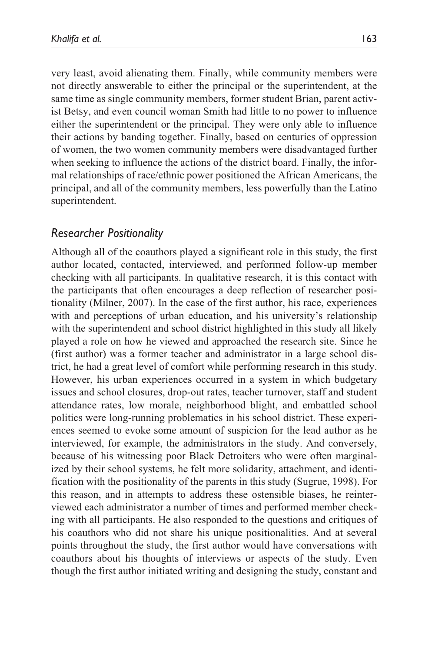very least, avoid alienating them. Finally, while community members were not directly answerable to either the principal or the superintendent, at the same time as single community members, former student Brian, parent activist Betsy, and even council woman Smith had little to no power to influence either the superintendent or the principal. They were only able to influence their actions by banding together. Finally, based on centuries of oppression of women, the two women community members were disadvantaged further when seeking to influence the actions of the district board. Finally, the informal relationships of race/ethnic power positioned the African Americans, the principal, and all of the community members, less powerfully than the Latino superintendent.

### *Researcher Positionality*

Although all of the coauthors played a significant role in this study, the first author located, contacted, interviewed, and performed follow-up member checking with all participants. In qualitative research, it is this contact with the participants that often encourages a deep reflection of researcher positionality (Milner, 2007). In the case of the first author, his race, experiences with and perceptions of urban education, and his university's relationship with the superintendent and school district highlighted in this study all likely played a role on how he viewed and approached the research site. Since he (first author) was a former teacher and administrator in a large school district, he had a great level of comfort while performing research in this study. However, his urban experiences occurred in a system in which budgetary issues and school closures, drop-out rates, teacher turnover, staff and student attendance rates, low morale, neighborhood blight, and embattled school politics were long-running problematics in his school district. These experiences seemed to evoke some amount of suspicion for the lead author as he interviewed, for example, the administrators in the study. And conversely, because of his witnessing poor Black Detroiters who were often marginalized by their school systems, he felt more solidarity, attachment, and identification with the positionality of the parents in this study (Sugrue, 1998). For this reason, and in attempts to address these ostensible biases, he reinterviewed each administrator a number of times and performed member checking with all participants. He also responded to the questions and critiques of his coauthors who did not share his unique positionalities. And at several points throughout the study, the first author would have conversations with coauthors about his thoughts of interviews or aspects of the study. Even though the first author initiated writing and designing the study, constant and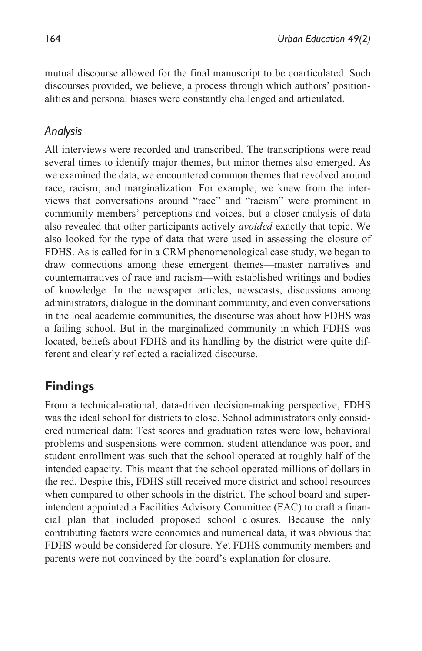mutual discourse allowed for the final manuscript to be coarticulated. Such discourses provided, we believe, a process through which authors' positionalities and personal biases were constantly challenged and articulated.

## *Analysis*

All interviews were recorded and transcribed. The transcriptions were read several times to identify major themes, but minor themes also emerged. As we examined the data, we encountered common themes that revolved around race, racism, and marginalization. For example, we knew from the interviews that conversations around "race" and "racism" were prominent in community members' perceptions and voices, but a closer analysis of data also revealed that other participants actively *avoided* exactly that topic. We also looked for the type of data that were used in assessing the closure of FDHS. As is called for in a CRM phenomenological case study, we began to draw connections among these emergent themes—master narratives and counternarratives of race and racism—with established writings and bodies of knowledge. In the newspaper articles, newscasts, discussions among administrators, dialogue in the dominant community, and even conversations in the local academic communities, the discourse was about how FDHS was a failing school. But in the marginalized community in which FDHS was located, beliefs about FDHS and its handling by the district were quite different and clearly reflected a racialized discourse.

# **Findings**

From a technical-rational, data-driven decision-making perspective, FDHS was the ideal school for districts to close. School administrators only considered numerical data: Test scores and graduation rates were low, behavioral problems and suspensions were common, student attendance was poor, and student enrollment was such that the school operated at roughly half of the intended capacity. This meant that the school operated millions of dollars in the red. Despite this, FDHS still received more district and school resources when compared to other schools in the district. The school board and superintendent appointed a Facilities Advisory Committee (FAC) to craft a financial plan that included proposed school closures. Because the only contributing factors were economics and numerical data, it was obvious that FDHS would be considered for closure. Yet FDHS community members and parents were not convinced by the board's explanation for closure.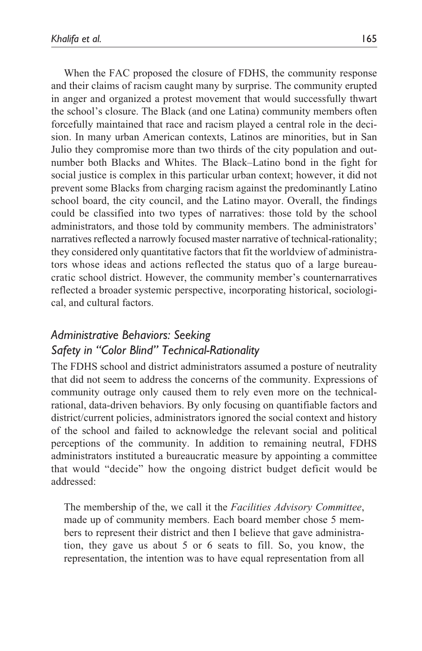When the FAC proposed the closure of FDHS, the community response and their claims of racism caught many by surprise. The community erupted in anger and organized a protest movement that would successfully thwart the school's closure. The Black (and one Latina) community members often forcefully maintained that race and racism played a central role in the decision. In many urban American contexts, Latinos are minorities, but in San Julio they compromise more than two thirds of the city population and outnumber both Blacks and Whites. The Black–Latino bond in the fight for social justice is complex in this particular urban context; however, it did not prevent some Blacks from charging racism against the predominantly Latino school board, the city council, and the Latino mayor. Overall, the findings could be classified into two types of narratives: those told by the school administrators, and those told by community members. The administrators' narratives reflected a narrowly focused master narrative of technical-rationality; they considered only quantitative factors that fit the worldview of administrators whose ideas and actions reflected the status quo of a large bureaucratic school district. However, the community member's counternarratives reflected a broader systemic perspective, incorporating historical, sociological, and cultural factors.

## *Administrative Behaviors: Seeking Safety in "Color Blind" Technical-Rationality*

The FDHS school and district administrators assumed a posture of neutrality that did not seem to address the concerns of the community. Expressions of community outrage only caused them to rely even more on the technicalrational, data-driven behaviors. By only focusing on quantifiable factors and district/current policies, administrators ignored the social context and history of the school and failed to acknowledge the relevant social and political perceptions of the community. In addition to remaining neutral, FDHS administrators instituted a bureaucratic measure by appointing a committee that would "decide" how the ongoing district budget deficit would be addressed:

The membership of the, we call it the *Facilities Advisory Committee*, made up of community members. Each board member chose 5 members to represent their district and then I believe that gave administration, they gave us about 5 or 6 seats to fill. So, you know, the representation, the intention was to have equal representation from all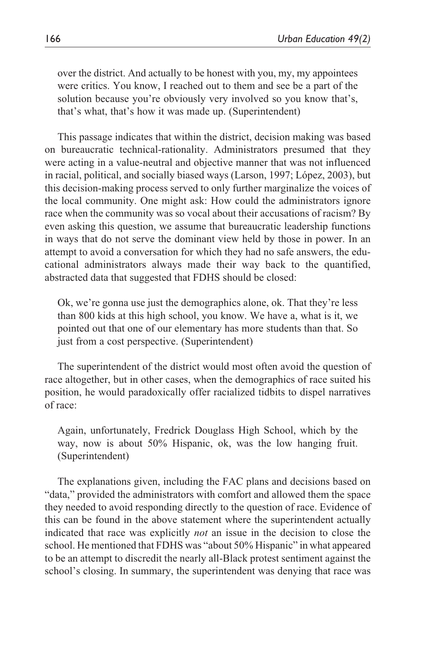over the district. And actually to be honest with you, my, my appointees were critics. You know, I reached out to them and see be a part of the solution because you're obviously very involved so you know that's, that's what, that's how it was made up. (Superintendent)

This passage indicates that within the district, decision making was based on bureaucratic technical-rationality. Administrators presumed that they were acting in a value-neutral and objective manner that was not influenced in racial, political, and socially biased ways (Larson, 1997; López, 2003), but this decision-making process served to only further marginalize the voices of the local community. One might ask: How could the administrators ignore race when the community was so vocal about their accusations of racism? By even asking this question, we assume that bureaucratic leadership functions in ways that do not serve the dominant view held by those in power. In an attempt to avoid a conversation for which they had no safe answers, the educational administrators always made their way back to the quantified, abstracted data that suggested that FDHS should be closed:

Ok, we're gonna use just the demographics alone, ok. That they're less than 800 kids at this high school, you know. We have a, what is it, we pointed out that one of our elementary has more students than that. So just from a cost perspective. (Superintendent)

The superintendent of the district would most often avoid the question of race altogether, but in other cases, when the demographics of race suited his position, he would paradoxically offer racialized tidbits to dispel narratives of race:

Again, unfortunately, Fredrick Douglass High School, which by the way, now is about 50% Hispanic, ok, was the low hanging fruit. (Superintendent)

The explanations given, including the FAC plans and decisions based on "data," provided the administrators with comfort and allowed them the space they needed to avoid responding directly to the question of race. Evidence of this can be found in the above statement where the superintendent actually indicated that race was explicitly *not* an issue in the decision to close the school. He mentioned that FDHS was "about 50% Hispanic" in what appeared to be an attempt to discredit the nearly all-Black protest sentiment against the school's closing. In summary, the superintendent was denying that race was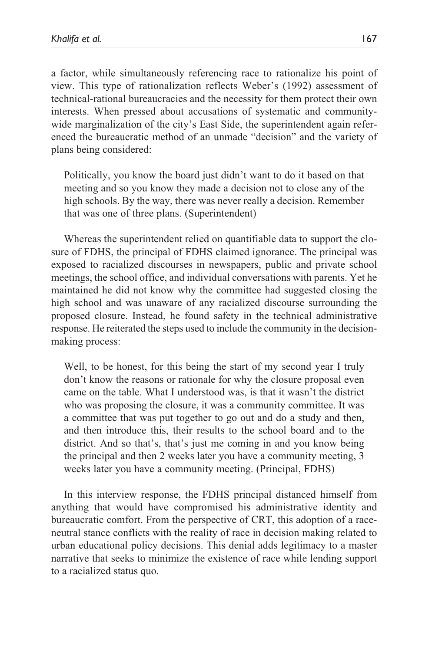a factor, while simultaneously referencing race to rationalize his point of view. This type of rationalization reflects Weber's (1992) assessment of technical-rational bureaucracies and the necessity for them protect their own interests. When pressed about accusations of systematic and communitywide marginalization of the city's East Side, the superintendent again referenced the bureaucratic method of an unmade "decision" and the variety of plans being considered:

Politically, you know the board just didn't want to do it based on that meeting and so you know they made a decision not to close any of the high schools. By the way, there was never really a decision. Remember that was one of three plans. (Superintendent)

Whereas the superintendent relied on quantifiable data to support the closure of FDHS, the principal of FDHS claimed ignorance. The principal was exposed to racialized discourses in newspapers, public and private school meetings, the school office, and individual conversations with parents. Yet he maintained he did not know why the committee had suggested closing the high school and was unaware of any racialized discourse surrounding the proposed closure. Instead, he found safety in the technical administrative response. He reiterated the steps used to include the community in the decisionmaking process:

Well, to be honest, for this being the start of my second year I truly don't know the reasons or rationale for why the closure proposal even came on the table. What I understood was, is that it wasn't the district who was proposing the closure, it was a community committee. It was a committee that was put together to go out and do a study and then, and then introduce this, their results to the school board and to the district. And so that's, that's just me coming in and you know being the principal and then 2 weeks later you have a community meeting, 3 weeks later you have a community meeting. (Principal, FDHS)

In this interview response, the FDHS principal distanced himself from anything that would have compromised his administrative identity and bureaucratic comfort. From the perspective of CRT, this adoption of a raceneutral stance conflicts with the reality of race in decision making related to urban educational policy decisions. This denial adds legitimacy to a master narrative that seeks to minimize the existence of race while lending support to a racialized status quo.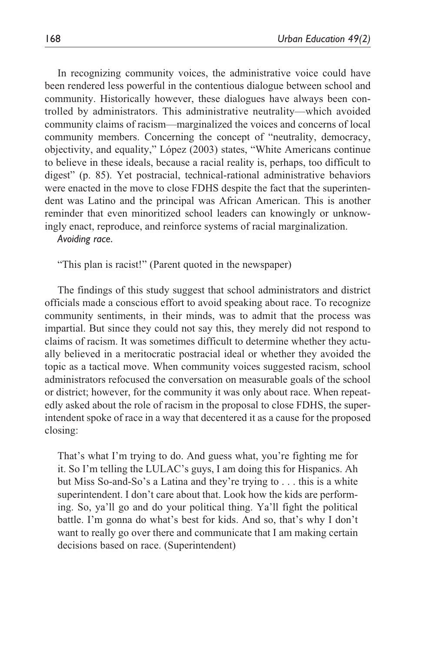In recognizing community voices, the administrative voice could have been rendered less powerful in the contentious dialogue between school and community. Historically however, these dialogues have always been controlled by administrators. This administrative neutrality—which avoided community claims of racism—marginalized the voices and concerns of local community members. Concerning the concept of "neutrality, democracy, objectivity, and equality," López (2003) states, "White Americans continue to believe in these ideals, because a racial reality is, perhaps, too difficult to digest" (p. 85). Yet postracial, technical-rational administrative behaviors were enacted in the move to close FDHS despite the fact that the superintendent was Latino and the principal was African American. This is another reminder that even minoritized school leaders can knowingly or unknowingly enact, reproduce, and reinforce systems of racial marginalization.

*Avoiding race*.

"This plan is racist!" (Parent quoted in the newspaper)

The findings of this study suggest that school administrators and district officials made a conscious effort to avoid speaking about race. To recognize community sentiments, in their minds, was to admit that the process was impartial. But since they could not say this, they merely did not respond to claims of racism. It was sometimes difficult to determine whether they actually believed in a meritocratic postracial ideal or whether they avoided the topic as a tactical move. When community voices suggested racism, school administrators refocused the conversation on measurable goals of the school or district; however, for the community it was only about race. When repeatedly asked about the role of racism in the proposal to close FDHS, the superintendent spoke of race in a way that decentered it as a cause for the proposed closing:

That's what I'm trying to do. And guess what, you're fighting me for it. So I'm telling the LULAC's guys, I am doing this for Hispanics. Ah but Miss So-and-So's a Latina and they're trying to . . . this is a white superintendent. I don't care about that. Look how the kids are performing. So, ya'll go and do your political thing. Ya'll fight the political battle. I'm gonna do what's best for kids. And so, that's why I don't want to really go over there and communicate that I am making certain decisions based on race. (Superintendent)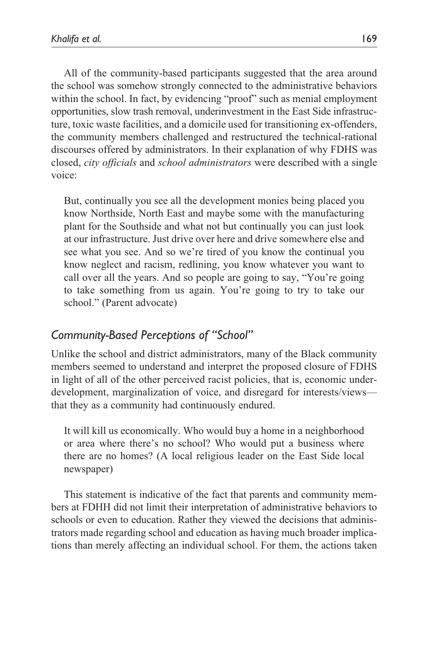All of the community-based participants suggested that the area around the school was somehow strongly connected to the administrative behaviors within the school. In fact, by evidencing "proof" such as menial employment opportunities, slow trash removal, underinvestment in the East Side infrastructure, toxic waste facilities, and a domicile used for transitioning ex-offenders, the community members challenged and restructured the technical-rational discourses offered by administrators. In their explanation of why FDHS was closed, *city officials* and *school administrators* were described with a single voice:

But, continually you see all the development monies being placed you know Northside, North East and maybe some with the manufacturing plant for the Southside and what not but continually you can just look at our infrastructure. Just drive over here and drive somewhere else and see what you see. And so we're tired of you know the continual you know neglect and racism, redlining, you know whatever you want to call over all the years. And so people are going to say, "You're going to take something from us again. You're going to try to take our school." (Parent advocate)

### *Community-Based Perceptions of "School"*

Unlike the school and district administrators, many of the Black community members seemed to understand and interpret the proposed closure of FDHS in light of all of the other perceived racist policies, that is, economic underdevelopment, marginalization of voice, and disregard for interests/views that they as a community had continuously endured.

It will kill us economically. Who would buy a home in a neighborhood or area where there's no school? Who would put a business where there are no homes? (A local religious leader on the East Side local newspaper)

This statement is indicative of the fact that parents and community members at FDHH did not limit their interpretation of administrative behaviors to schools or even to education. Rather they viewed the decisions that administrators made regarding school and education as having much broader implications than merely affecting an individual school. For them, the actions taken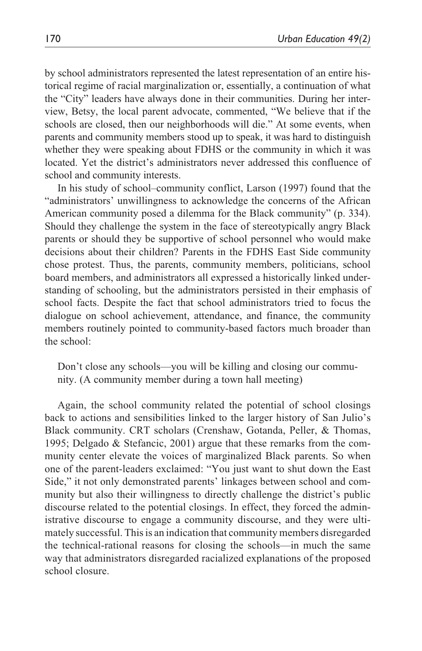by school administrators represented the latest representation of an entire historical regime of racial marginalization or, essentially, a continuation of what the "City" leaders have always done in their communities. During her interview, Betsy, the local parent advocate, commented, "We believe that if the schools are closed, then our neighborhoods will die." At some events, when parents and community members stood up to speak, it was hard to distinguish whether they were speaking about FDHS or the community in which it was located. Yet the district's administrators never addressed this confluence of school and community interests.

In his study of school–community conflict, Larson (1997) found that the "administrators' unwillingness to acknowledge the concerns of the African American community posed a dilemma for the Black community" (p. 334). Should they challenge the system in the face of stereotypically angry Black parents or should they be supportive of school personnel who would make decisions about their children? Parents in the FDHS East Side community chose protest. Thus, the parents, community members, politicians, school board members, and administrators all expressed a historically linked understanding of schooling, but the administrators persisted in their emphasis of school facts. Despite the fact that school administrators tried to focus the dialogue on school achievement, attendance, and finance, the community members routinely pointed to community-based factors much broader than the school:

Don't close any schools—you will be killing and closing our community. (A community member during a town hall meeting)

Again, the school community related the potential of school closings back to actions and sensibilities linked to the larger history of San Julio's Black community. CRT scholars (Crenshaw, Gotanda, Peller, & Thomas, 1995; Delgado & Stefancic, 2001) argue that these remarks from the community center elevate the voices of marginalized Black parents. So when one of the parent-leaders exclaimed: "You just want to shut down the East Side," it not only demonstrated parents' linkages between school and community but also their willingness to directly challenge the district's public discourse related to the potential closings. In effect, they forced the administrative discourse to engage a community discourse, and they were ultimately successful. This is an indication that community members disregarded the technical-rational reasons for closing the schools—in much the same way that administrators disregarded racialized explanations of the proposed school closure.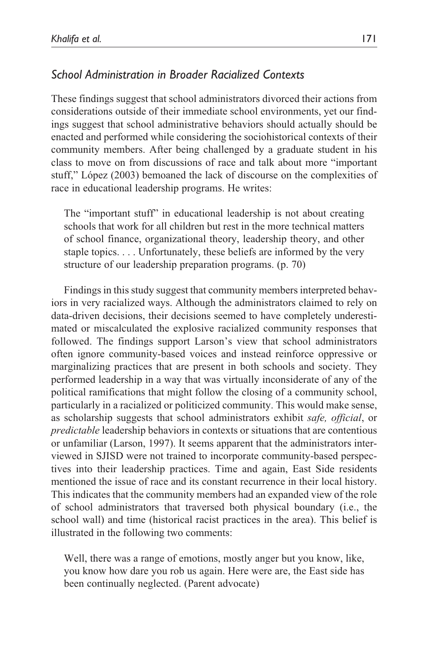## *School Administration in Broader Racialized Contexts*

These findings suggest that school administrators divorced their actions from considerations outside of their immediate school environments, yet our findings suggest that school administrative behaviors should actually should be enacted and performed while considering the sociohistorical contexts of their community members. After being challenged by a graduate student in his class to move on from discussions of race and talk about more "important stuff," López (2003) bemoaned the lack of discourse on the complexities of race in educational leadership programs. He writes:

The "important stuff" in educational leadership is not about creating schools that work for all children but rest in the more technical matters of school finance, organizational theory, leadership theory, and other staple topics. . . . Unfortunately, these beliefs are informed by the very structure of our leadership preparation programs. (p. 70)

Findings in this study suggest that community members interpreted behaviors in very racialized ways. Although the administrators claimed to rely on data-driven decisions, their decisions seemed to have completely underestimated or miscalculated the explosive racialized community responses that followed. The findings support Larson's view that school administrators often ignore community-based voices and instead reinforce oppressive or marginalizing practices that are present in both schools and society. They performed leadership in a way that was virtually inconsiderate of any of the political ramifications that might follow the closing of a community school, particularly in a racialized or politicized community. This would make sense, as scholarship suggests that school administrators exhibit *safe, official*, or *predictable* leadership behaviors in contexts or situations that are contentious or unfamiliar (Larson, 1997). It seems apparent that the administrators interviewed in SJISD were not trained to incorporate community-based perspectives into their leadership practices. Time and again, East Side residents mentioned the issue of race and its constant recurrence in their local history. This indicates that the community members had an expanded view of the role of school administrators that traversed both physical boundary (i.e., the school wall) and time (historical racist practices in the area). This belief is illustrated in the following two comments:

Well, there was a range of emotions, mostly anger but you know, like, you know how dare you rob us again. Here were are, the East side has been continually neglected. (Parent advocate)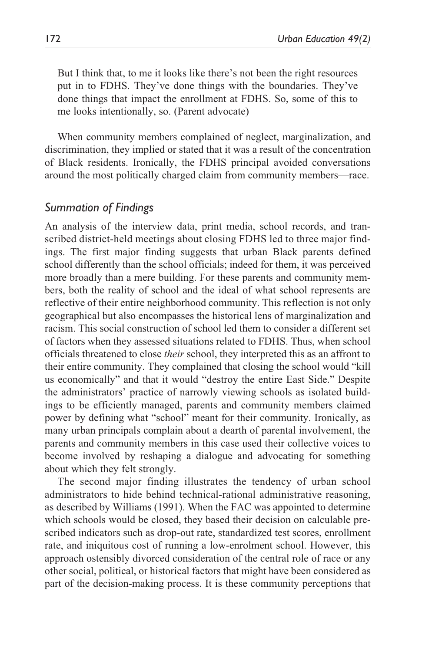But I think that, to me it looks like there's not been the right resources put in to FDHS. They've done things with the boundaries. They've done things that impact the enrollment at FDHS. So, some of this to me looks intentionally, so. (Parent advocate)

When community members complained of neglect, marginalization, and discrimination, they implied or stated that it was a result of the concentration of Black residents. Ironically, the FDHS principal avoided conversations around the most politically charged claim from community members—race.

#### *Summation of Findings*

An analysis of the interview data, print media, school records, and transcribed district-held meetings about closing FDHS led to three major findings. The first major finding suggests that urban Black parents defined school differently than the school officials; indeed for them, it was perceived more broadly than a mere building. For these parents and community members, both the reality of school and the ideal of what school represents are reflective of their entire neighborhood community. This reflection is not only geographical but also encompasses the historical lens of marginalization and racism. This social construction of school led them to consider a different set of factors when they assessed situations related to FDHS. Thus, when school officials threatened to close *their* school, they interpreted this as an affront to their entire community. They complained that closing the school would "kill us economically" and that it would "destroy the entire East Side." Despite the administrators' practice of narrowly viewing schools as isolated buildings to be efficiently managed, parents and community members claimed power by defining what "school" meant for their community. Ironically, as many urban principals complain about a dearth of parental involvement, the parents and community members in this case used their collective voices to become involved by reshaping a dialogue and advocating for something about which they felt strongly.

The second major finding illustrates the tendency of urban school administrators to hide behind technical-rational administrative reasoning, as described by Williams (1991). When the FAC was appointed to determine which schools would be closed, they based their decision on calculable prescribed indicators such as drop-out rate, standardized test scores, enrollment rate, and iniquitous cost of running a low-enrolment school. However, this approach ostensibly divorced consideration of the central role of race or any other social, political, or historical factors that might have been considered as part of the decision-making process. It is these community perceptions that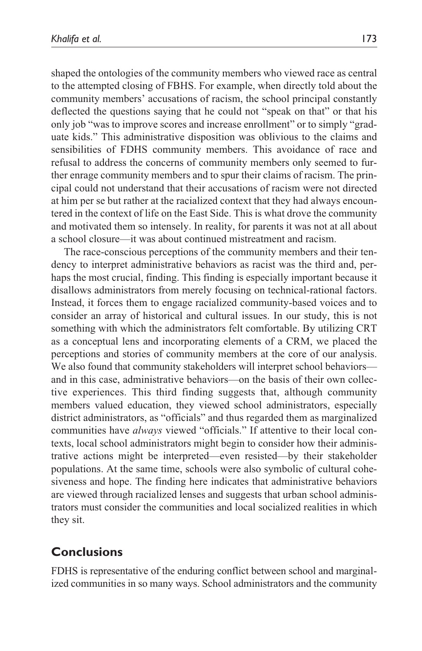shaped the ontologies of the community members who viewed race as central to the attempted closing of FBHS. For example, when directly told about the community members' accusations of racism, the school principal constantly deflected the questions saying that he could not "speak on that" or that his only job "was to improve scores and increase enrollment" or to simply "graduate kids." This administrative disposition was oblivious to the claims and sensibilities of FDHS community members. This avoidance of race and refusal to address the concerns of community members only seemed to further enrage community members and to spur their claims of racism. The principal could not understand that their accusations of racism were not directed at him per se but rather at the racialized context that they had always encountered in the context of life on the East Side. This is what drove the community and motivated them so intensely. In reality, for parents it was not at all about a school closure—it was about continued mistreatment and racism.

The race-conscious perceptions of the community members and their tendency to interpret administrative behaviors as racist was the third and, perhaps the most crucial, finding. This finding is especially important because it disallows administrators from merely focusing on technical-rational factors. Instead, it forces them to engage racialized community-based voices and to consider an array of historical and cultural issues. In our study, this is not something with which the administrators felt comfortable. By utilizing CRT as a conceptual lens and incorporating elements of a CRM, we placed the perceptions and stories of community members at the core of our analysis. We also found that community stakeholders will interpret school behaviors and in this case, administrative behaviors—on the basis of their own collective experiences. This third finding suggests that, although community members valued education, they viewed school administrators, especially district administrators, as "officials" and thus regarded them as marginalized communities have *always* viewed "officials." If attentive to their local contexts, local school administrators might begin to consider how their administrative actions might be interpreted—even resisted—by their stakeholder populations. At the same time, schools were also symbolic of cultural cohesiveness and hope. The finding here indicates that administrative behaviors are viewed through racialized lenses and suggests that urban school administrators must consider the communities and local socialized realities in which they sit.

### **Conclusions**

FDHS is representative of the enduring conflict between school and marginalized communities in so many ways. School administrators and the community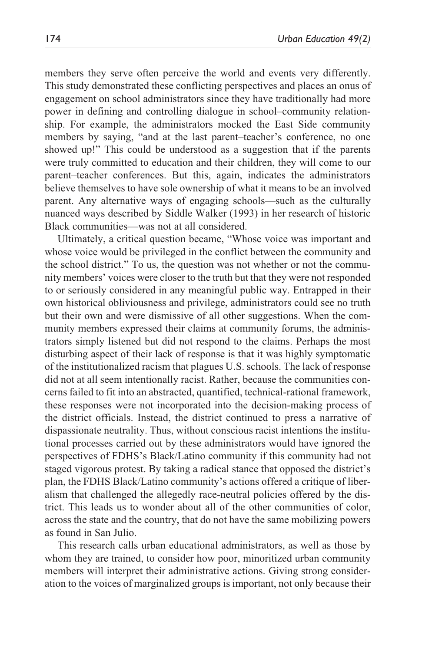members they serve often perceive the world and events very differently. This study demonstrated these conflicting perspectives and places an onus of engagement on school administrators since they have traditionally had more power in defining and controlling dialogue in school–community relationship. For example, the administrators mocked the East Side community members by saying, "and at the last parent–teacher's conference, no one showed up!" This could be understood as a suggestion that if the parents were truly committed to education and their children, they will come to our parent–teacher conferences. But this, again, indicates the administrators believe themselves to have sole ownership of what it means to be an involved parent. Any alternative ways of engaging schools—such as the culturally nuanced ways described by Siddle Walker (1993) in her research of historic Black communities—was not at all considered.

Ultimately, a critical question became, "Whose voice was important and whose voice would be privileged in the conflict between the community and the school district." To us, the question was not whether or not the community members' voices were closer to the truth but that they were not responded to or seriously considered in any meaningful public way. Entrapped in their own historical obliviousness and privilege, administrators could see no truth but their own and were dismissive of all other suggestions. When the community members expressed their claims at community forums, the administrators simply listened but did not respond to the claims. Perhaps the most disturbing aspect of their lack of response is that it was highly symptomatic of the institutionalized racism that plagues U.S. schools. The lack of response did not at all seem intentionally racist. Rather, because the communities concerns failed to fit into an abstracted, quantified, technical-rational framework, these responses were not incorporated into the decision-making process of the district officials. Instead, the district continued to press a narrative of dispassionate neutrality. Thus, without conscious racist intentions the institutional processes carried out by these administrators would have ignored the perspectives of FDHS's Black/Latino community if this community had not staged vigorous protest. By taking a radical stance that opposed the district's plan, the FDHS Black/Latino community's actions offered a critique of liberalism that challenged the allegedly race-neutral policies offered by the district. This leads us to wonder about all of the other communities of color, across the state and the country, that do not have the same mobilizing powers as found in San Julio.

This research calls urban educational administrators, as well as those by whom they are trained, to consider how poor, minoritized urban community members will interpret their administrative actions. Giving strong consideration to the voices of marginalized groups is important, not only because their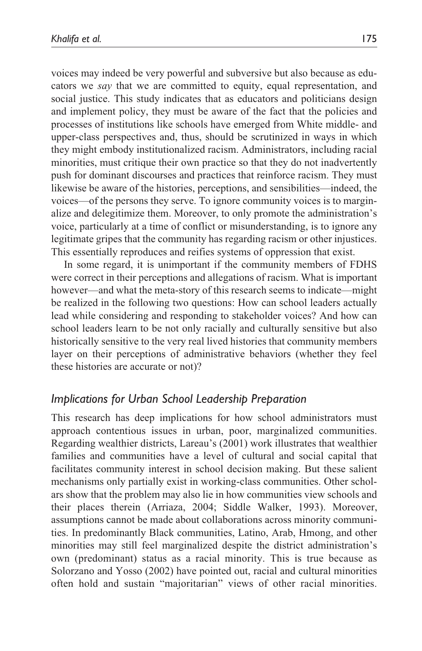voices may indeed be very powerful and subversive but also because as educators we *say* that we are committed to equity, equal representation, and social justice. This study indicates that as educators and politicians design and implement policy, they must be aware of the fact that the policies and processes of institutions like schools have emerged from White middle- and upper-class perspectives and, thus, should be scrutinized in ways in which they might embody institutionalized racism. Administrators, including racial minorities, must critique their own practice so that they do not inadvertently push for dominant discourses and practices that reinforce racism. They must likewise be aware of the histories, perceptions, and sensibilities—indeed, the voices—of the persons they serve. To ignore community voices is to marginalize and delegitimize them. Moreover, to only promote the administration's voice, particularly at a time of conflict or misunderstanding, is to ignore any legitimate gripes that the community has regarding racism or other injustices. This essentially reproduces and reifies systems of oppression that exist.

In some regard, it is unimportant if the community members of FDHS were correct in their perceptions and allegations of racism. What is important however—and what the meta-story of this research seems to indicate—might be realized in the following two questions: How can school leaders actually lead while considering and responding to stakeholder voices? And how can school leaders learn to be not only racially and culturally sensitive but also historically sensitive to the very real lived histories that community members layer on their perceptions of administrative behaviors (whether they feel these histories are accurate or not)?

#### *Implications for Urban School Leadership Preparation*

This research has deep implications for how school administrators must approach contentious issues in urban, poor, marginalized communities. Regarding wealthier districts, Lareau's (2001) work illustrates that wealthier families and communities have a level of cultural and social capital that facilitates community interest in school decision making. But these salient mechanisms only partially exist in working-class communities. Other scholars show that the problem may also lie in how communities view schools and their places therein (Arriaza, 2004; Siddle Walker, 1993). Moreover, assumptions cannot be made about collaborations across minority communities. In predominantly Black communities, Latino, Arab, Hmong, and other minorities may still feel marginalized despite the district administration's own (predominant) status as a racial minority. This is true because as Solorzano and Yosso (2002) have pointed out, racial and cultural minorities often hold and sustain "majoritarian" views of other racial minorities.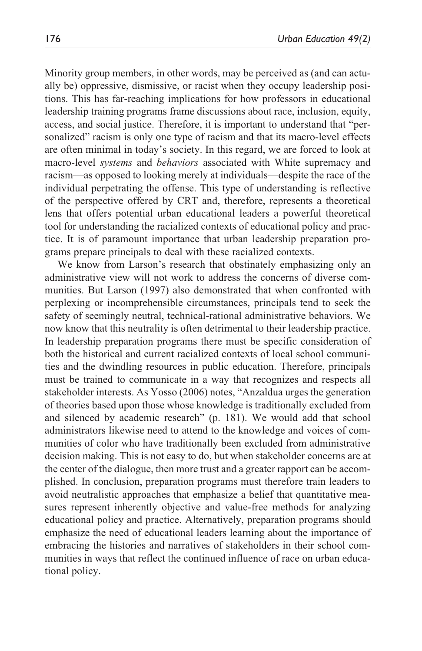Minority group members, in other words, may be perceived as (and can actually be) oppressive, dismissive, or racist when they occupy leadership positions. This has far-reaching implications for how professors in educational leadership training programs frame discussions about race, inclusion, equity, access, and social justice. Therefore, it is important to understand that "personalized" racism is only one type of racism and that its macro-level effects are often minimal in today's society. In this regard, we are forced to look at macro-level *systems* and *behaviors* associated with White supremacy and racism—as opposed to looking merely at individuals—despite the race of the individual perpetrating the offense. This type of understanding is reflective of the perspective offered by CRT and, therefore, represents a theoretical lens that offers potential urban educational leaders a powerful theoretical tool for understanding the racialized contexts of educational policy and practice. It is of paramount importance that urban leadership preparation programs prepare principals to deal with these racialized contexts.

We know from Larson's research that obstinately emphasizing only an administrative view will not work to address the concerns of diverse communities. But Larson (1997) also demonstrated that when confronted with perplexing or incomprehensible circumstances, principals tend to seek the safety of seemingly neutral, technical-rational administrative behaviors. We now know that this neutrality is often detrimental to their leadership practice. In leadership preparation programs there must be specific consideration of both the historical and current racialized contexts of local school communities and the dwindling resources in public education. Therefore, principals must be trained to communicate in a way that recognizes and respects all stakeholder interests. As Yosso (2006) notes, "Anzaldua urges the generation of theories based upon those whose knowledge is traditionally excluded from and silenced by academic research" (p. 181). We would add that school administrators likewise need to attend to the knowledge and voices of communities of color who have traditionally been excluded from administrative decision making. This is not easy to do, but when stakeholder concerns are at the center of the dialogue, then more trust and a greater rapport can be accomplished. In conclusion, preparation programs must therefore train leaders to avoid neutralistic approaches that emphasize a belief that quantitative measures represent inherently objective and value-free methods for analyzing educational policy and practice. Alternatively, preparation programs should emphasize the need of educational leaders learning about the importance of embracing the histories and narratives of stakeholders in their school communities in ways that reflect the continued influence of race on urban educational policy.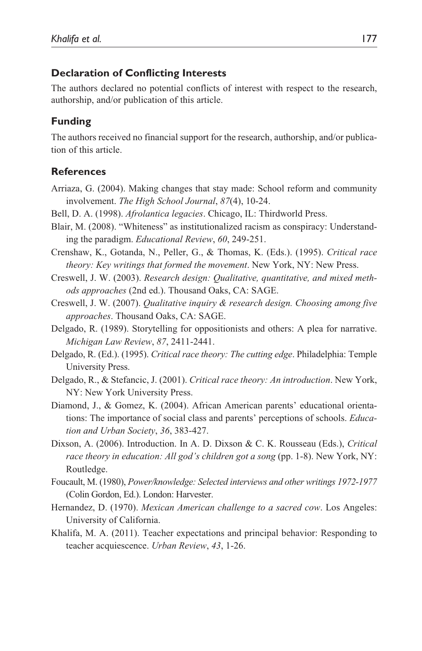#### **Declaration of Conflicting Interests**

The authors declared no potential conflicts of interest with respect to the research, authorship, and/or publication of this article.

#### **Funding**

The authors received no financial support for the research, authorship, and/or publication of this article.

#### **References**

- Arriaza, G. (2004). Making changes that stay made: School reform and community involvement. *The High School Journal*, *87*(4), 10-24.
- Bell, D. A. (1998). *Afrolantica legacies*. Chicago, IL: Thirdworld Press.
- Blair, M. (2008). "Whiteness" as institutionalized racism as conspiracy: Understanding the paradigm. *Educational Review*, *60*, 249-251.
- Crenshaw, K., Gotanda, N., Peller, G., & Thomas, K. (Eds.). (1995). *Critical race theory: Key writings that formed the movement*. New York, NY: New Press.
- Creswell, J. W. (2003). *Research design: Qualitative, quantitative, and mixed methods approaches* (2nd ed.). Thousand Oaks, CA: SAGE.
- Creswell, J. W. (2007). *Qualitative inquiry & research design. Choosing among five approaches*. Thousand Oaks, CA: SAGE.
- Delgado, R. (1989). Storytelling for oppositionists and others: A plea for narrative. *Michigan Law Review*, *87*, 2411-2441.
- Delgado, R. (Ed.). (1995). *Critical race theory: The cutting edge*. Philadelphia: Temple University Press.
- Delgado, R., & Stefancic, J. (2001). *Critical race theory: An introduction*. New York, NY: New York University Press.
- Diamond, J., & Gomez, K. (2004). African American parents' educational orientations: The importance of social class and parents' perceptions of schools. *Education and Urban Society*, *36*, 383-427.
- Dixson, A. (2006). Introduction. In A. D. Dixson & C. K. Rousseau (Eds.), *Critical race theory in education: All god's children got a song* (pp. 1-8). New York, NY: Routledge.
- Foucault, M. (1980), *Power/knowledge: Selected interviews and other writings 1972-1977* (Colin Gordon, Ed.). London: Harvester.
- Hernandez, D. (1970). *Mexican American challenge to a sacred cow*. Los Angeles: University of California.
- Khalifa, M. A. (2011). Teacher expectations and principal behavior: Responding to teacher acquiescence. *Urban Review*, *43*, 1-26.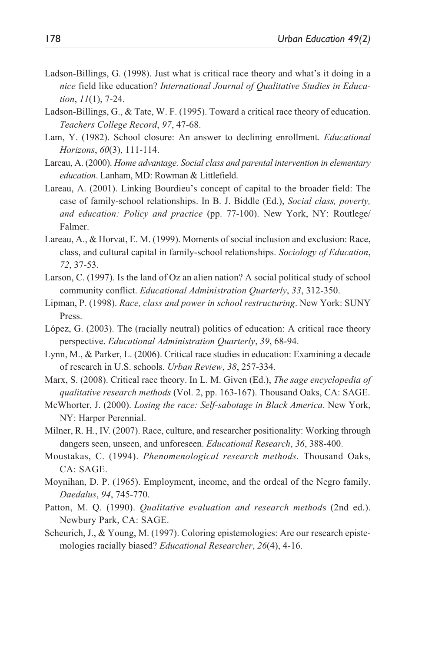- Ladson-Billings, G. (1998). Just what is critical race theory and what's it doing in a *nice* field like education? *International Journal of Qualitative Studies in Education*, *11*(1), 7-24.
- Ladson-Billings, G., & Tate, W. F. (1995). Toward a critical race theory of education. *Teachers College Record*, *97*, 47-68.
- Lam, Y. (1982). School closure: An answer to declining enrollment. *Educational Horizons*, *60*(3), 111-114.
- Lareau, A. (2000). *Home advantage. Social class and parental intervention in elementary education*. Lanham, MD: Rowman & Littlefield.
- Lareau, A. (2001). Linking Bourdieu's concept of capital to the broader field: The case of family-school relationships. In B. J. Biddle (Ed.), *Social class, poverty, and education: Policy and practice* (pp. 77-100). New York, NY: Routlege/ Falmer.
- Lareau, A., & Horvat, E. M. (1999). Moments of social inclusion and exclusion: Race, class, and cultural capital in family-school relationships. *Sociology of Education*, *72*, 37-53.
- Larson, C. (1997). Is the land of Oz an alien nation? A social political study of school community conflict. *Educational Administration Quarterly*, *33*, 312-350.
- Lipman, P. (1998). *Race, class and power in school restructuring*. New York: SUNY Press.
- López, G. (2003). The (racially neutral) politics of education: A critical race theory perspective. *Educational Administration Quarterly*, *39*, 68-94.
- Lynn, M., & Parker, L. (2006). Critical race studies in education: Examining a decade of research in U.S. schools. *Urban Review*, *38*, 257-334.
- Marx, S. (2008). Critical race theory. In L. M. Given (Ed.), *The sage encyclopedia of qualitative research methods* (Vol. 2, pp. 163-167). Thousand Oaks, CA: SAGE.
- McWhorter, J. (2000). *Losing the race: Self-sabotage in Black America*. New York, NY: Harper Perennial.
- Milner, R. H., IV. (2007). Race, culture, and researcher positionality: Working through dangers seen, unseen, and unforeseen. *Educational Research*, *36*, 388-400.
- Moustakas, C. (1994). *Phenomenological research methods*. Thousand Oaks, CA: SAGE.
- Moynihan, D. P. (1965). Employment, income, and the ordeal of the Negro family. *Daedalus*, *94*, 745-770.
- Patton, M. Q. (1990). *Qualitative evaluation and research method*s (2nd ed.). Newbury Park, CA: SAGE.
- Scheurich, J., & Young, M. (1997). Coloring epistemologies: Are our research epistemologies racially biased? *Educational Researcher*, *26*(4), 4-16.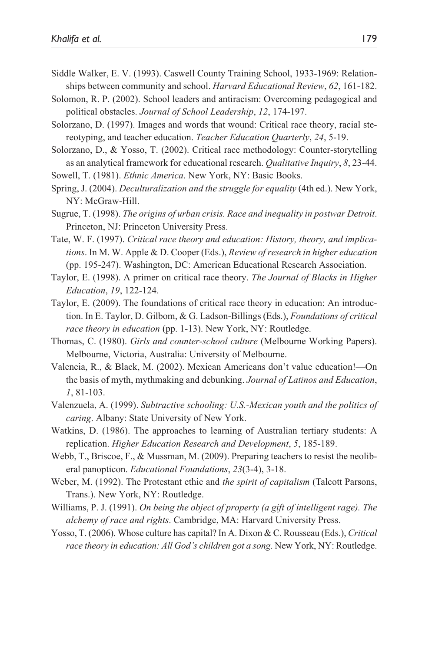- Siddle Walker, E. V. (1993). Caswell County Training School, 1933-1969: Relationships between community and school. *Harvard Educational Review*, *62*, 161-182.
- Solomon, R. P. (2002). School leaders and antiracism: Overcoming pedagogical and political obstacles. *Journal of School Leadership*, *12*, 174-197.
- Solorzano, D. (1997). Images and words that wound: Critical race theory, racial stereotyping, and teacher education. *Teacher Education Quarterly*, *24*, 5-19.
- Solorzano, D., & Yosso, T. (2002). Critical race methodology: Counter-storytelling as an analytical framework for educational research. *Qualitative Inquiry*, *8*, 23-44.

Sowell, T. (1981). *Ethnic America*. New York, NY: Basic Books.

- Spring, J. (2004). *Deculturalization and the struggle for equality* (4th ed.). New York, NY: McGraw-Hill.
- Sugrue, T. (1998). *The origins of urban crisis. Race and inequality in postwar Detroit*. Princeton, NJ: Princeton University Press.
- Tate, W. F. (1997). *Critical race theory and education: History, theory, and implications*. In M. W. Apple & D. Cooper (Eds.), *Review of research in higher education* (pp. 195-247). Washington, DC: American Educational Research Association.
- Taylor, E. (1998). A primer on critical race theory. *The Journal of Blacks in Higher Education*, *19*, 122-124.
- Taylor, E. (2009). The foundations of critical race theory in education: An introduction. In E. Taylor, D. Gilbom, & G. Ladson-Billings (Eds.), *Foundations of critical race theory in education* (pp. 1-13). New York, NY: Routledge.
- Thomas, C. (1980). *Girls and counter-school culture* (Melbourne Working Papers). Melbourne, Victoria, Australia: University of Melbourne.
- Valencia, R., & Black, M. (2002). Mexican Americans don't value education!—On the basis of myth, mythmaking and debunking. *Journal of Latinos and Education*, *1*, 81-103.
- Valenzuela, A. (1999). *Subtractive schooling: U.S.-Mexican youth and the politics of caring*. Albany: State University of New York.
- Watkins, D. (1986). The approaches to learning of Australian tertiary students: A replication. *Higher Education Research and Development*, *5*, 185-189.
- Webb, T., Briscoe, F., & Mussman, M. (2009). Preparing teachers to resist the neoliberal panopticon. *Educational Foundations*, *23*(3-4), 3-18.
- Weber, M. (1992). The Protestant ethic and *the spirit of capitalism* (Talcott Parsons, Trans.). New York, NY: Routledge.
- Williams, P. J. (1991). *On being the object of property (a gift of intelligent rage). The alchemy of race and rights*. Cambridge, MA: Harvard University Press.
- Yosso, T. (2006). Whose culture has capital? In A. Dixon & C. Rousseau (Eds.), *Critical race theory in education: All God's children got a song*. New York, NY: Routledge.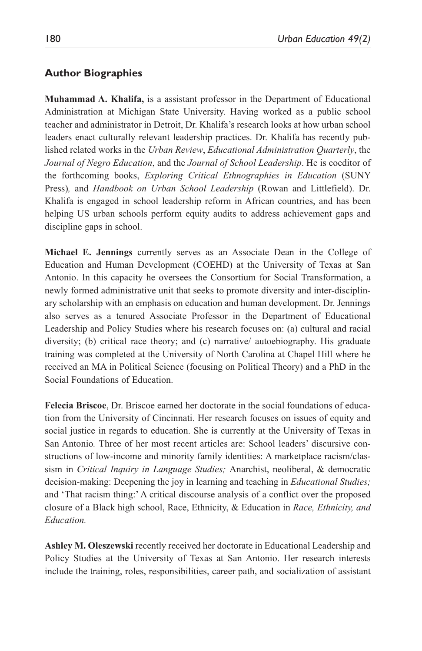#### **Author Biographies**

**Muhammad A. Khalifa,** is a assistant professor in the Department of Educational Administration at Michigan State University. Having worked as a public school teacher and administrator in Detroit, Dr. Khalifa's research looks at how urban school leaders enact culturally relevant leadership practices. Dr. Khalifa has recently published related works in the *Urban Review*, *Educational Administration Quarterly*, the *Journal of Negro Education*, and the *Journal of School Leadership*. He is coeditor of the forthcoming books, *Exploring Critical Ethnographies in Education* (SUNY Press)*,* and *Handbook on Urban School Leadership* (Rowan and Littlefield). Dr. Khalifa is engaged in school leadership reform in African countries, and has been helping US urban schools perform equity audits to address achievement gaps and discipline gaps in school.

**Michael E. Jennings** currently serves as an Associate Dean in the College of Education and Human Development (COEHD) at the University of Texas at San Antonio. In this capacity he oversees the Consortium for Social Transformation, a newly formed administrative unit that seeks to promote diversity and inter-disciplinary scholarship with an emphasis on education and human development. Dr. Jennings also serves as a tenured Associate Professor in the Department of Educational Leadership and Policy Studies where his research focuses on: (a) cultural and racial diversity; (b) critical race theory; and (c) narrative/ autoebiography. His graduate training was completed at the University of North Carolina at Chapel Hill where he received an MA in Political Science (focusing on Political Theory) and a PhD in the Social Foundations of Education.

**Felecia Briscoe**, Dr. Briscoe earned her doctorate in the social foundations of education from the University of Cincinnati. Her research focuses on issues of equity and social justice in regards to education. She is currently at the University of Texas in San Antonio*.* Three of her most recent articles are: School leaders' discursive constructions of low-income and minority family identities: A marketplace racism/classism in *Critical Inquiry in Language Studies;* Anarchist, neoliberal, & democratic decision-making: Deepening the joy in learning and teaching in *Educational Studies;*  and 'That racism thing:' A critical discourse analysis of a conflict over the proposed closure of a Black high school, Race, Ethnicity, & Education in *Race, Ethnicity, and Education.*

**Ashley M. Oleszewski** recently received her doctorate in Educational Leadership and Policy Studies at the University of Texas at San Antonio. Her research interests include the training, roles, responsibilities, career path, and socialization of assistant